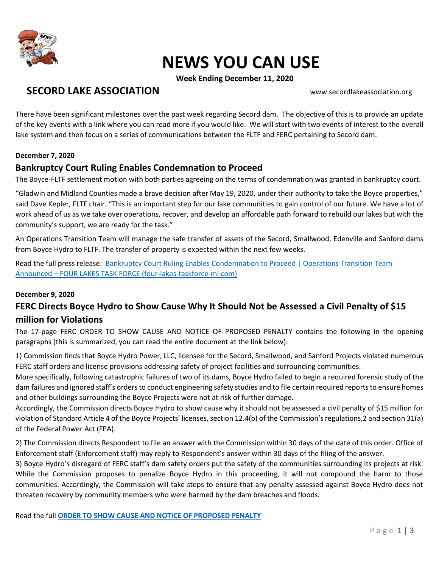

# **NEWS YOU CAN USE**

**Week Ending December 11, 2020**

## **SECORD LAKE ASSOCIATION** WWW.secordlakeassociation.org

There have been significant milestones over the past week regarding Secord dam. The objective of this is to provide an update of the key events with a link where you can read more if you would like. We will start with two events of interest to the overall lake system and then focus on a series of communications between the FLTF and FERC pertaining to Secord dam.

#### **December 7, 2020**

### **Bankruptcy Court Ruling Enables Condemnation to Proceed**

The Boyce-FLTF settlement motion with both parties agreeing on the terms of condemnation was granted in bankruptcy court.

"Gladwin and Midland Counties made a brave decision after May 19, 2020, under their authority to take the Boyce properties," said Dave Kepler, FLTF chair. "This is an important step for our lake communities to gain control of our future. We have a lot of work ahead of us as we take over operations, recover, and develop an affordable path forward to rebuild our lakes but with the community's support, we are ready for the task."

An Operations Transition Team will manage the safe transfer of assets of the Secord, Smallwood, Edenville and Sanford dams from Boyce Hydro to FLTF. The transfer of property is expected within the next few weeks.

Read the full press release: [Bankruptcy Court Ruling Enables Condemnation to Proceed | Operations Transition Team](https://www.four-lakes-taskforce-mi.com/updates/bankruptcy-court-ruling-enables-condemnation-to-proceed-operations-transition-team-announced?utm_source=newsletter&utm_medium=email&utm_campaign=condemnation_proceeds_operations_team_ready_to_go&utm_term=2020-12-07)  Announced – [FOUR LAKES TASK FORCE \(four-lakes-taskforce-mi.com\)](https://www.four-lakes-taskforce-mi.com/updates/bankruptcy-court-ruling-enables-condemnation-to-proceed-operations-transition-team-announced?utm_source=newsletter&utm_medium=email&utm_campaign=condemnation_proceeds_operations_team_ready_to_go&utm_term=2020-12-07)

#### **December 9, 2020**

### **FERC Directs Boyce Hydro to Show Cause Why It Should Not be Assessed a Civil Penalty of \$15 million for Violations**

The 17-page FERC ORDER TO SHOW CAUSE AND NOTICE OF PROPOSED PENALTY contains the following in the opening paragraphs (this is summarized, you can read the entire document at the link below):

1) Commission finds that Boyce Hydro Power, LLC, licensee for the Secord, Smallwood, and Sanford Projects violated numerous FERC staff orders and license provisions addressing safety of project facilities and surrounding communities.

More specifically, following catastrophic failures of two of its dams, Boyce Hydro failed to begin a required forensic study of the dam failures and ignored staff's orders to conduct engineering safety studies and to file certain required reports to ensure homes and other buildings surrounding the Boyce Projects were not at risk of further damage.

Accordingly, the Commission directs Boyce Hydro to show cause why it should not be assessed a civil penalty of \$15 million for violation of Standard Article 4 of the Boyce Projects' licenses, section 12.4(b) of the Commission's regulations,2 and section 31(a) of the Federal Power Act (FPA).

2) The Commission directs Respondent to file an answer with the Commission within 30 days of the date of this order. Office of Enforcement staff (Enforcement staff) may reply to Respondent's answer within 30 days of the filing of the answer.

3) Boyce Hydro's disregard of FERC staff's dam safety orders put the safety of the communities surrounding its projects at risk. While the Commission proposes to penalize Boyce Hydro in this proceeding, it will not compound the harm to those communities. Accordingly, the Commission will take steps to ensure that any penalty assessed against Boyce Hydro does not threaten recovery by community members who were harmed by the dam breaches and floods.

Read the full **[ORDER TO SHOW CAUSE AND NOTICE OF PROPOSED PENALTY](https://bf8c71b5-cc5c-461e-9075-870c26c74fdb.filesusr.com/ugd/cd86dd_dfab170cb89146b486155523d136b3d5.pdf)**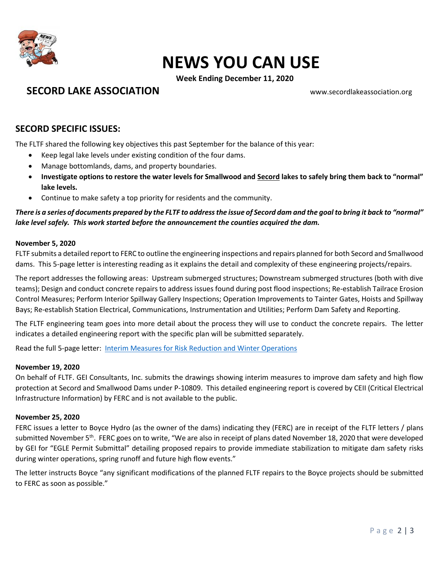

## **NEWS YOU CAN USE**

**Week Ending December 11, 2020**

**SECORD LAKE ASSOCIATION** WWW.secordlakeassociation.org

### **SECORD SPECIFIC ISSUES:**

The FLTF shared the following key objectives this past September for the balance of this year:

- Keep legal lake levels under existing condition of the four dams.
- Manage bottomlands, dams, and property boundaries.
- **Investigate options to restore the water levels for Smallwood and Secord lakes to safely bring them back to "normal" lake levels.**
- Continue to make safety a top priority for residents and the community.

*There is a series of documents prepared by the FLTF to address the issue of Secord dam and the goal to bring it back to "normal" lake level safely. This work started before the announcement the counties acquired the dam.*

#### **November 5, 2020**

FLTF submits a detailed report to FERC to outline the engineering inspections and repairs planned for both Secord and Smallwood dams. This 5-page letter is interesting reading as it explains the detail and complexity of these engineering projects/repairs.

The report addresses the following areas: Upstream submerged structures; Downstream submerged structures (both with dive teams); Design and conduct concrete repairs to address issues found during post flood inspections; Re-establish Tailrace Erosion Control Measures; Perform Interior Spillway Gallery Inspections; Operation Improvements to Tainter Gates, Hoists and Spillway Bays; Re-establish Station Electrical, Communications, Instrumentation and Utilities; Perform Dam Safety and Reporting.

The FLTF engineering team goes into more detail about the process they will use to conduct the concrete repairs. The letter indicates a detailed engineering report with the specific plan will be submitted separately.

Read the full 5-page letter: [Interim Measures for Risk Reduction and Winter Operations](https://bf8c71b5-cc5c-461e-9075-870c26c74fdb.filesusr.com/ugd/cd86dd_5019ce0817e040589f61504ed71e6fac.pdf)

#### **November 19, 2020**

On behalf of FLTF. GEI Consultants, Inc. submits the drawings showing interim measures to improve dam safety and high flow protection at Secord and Smallwood Dams under P-10809. This detailed engineering report is covered by CEII (Critical Electrical Infrastructure Information) by FERC and is not available to the public.

#### **November 25, 2020**

FERC issues a letter to Boyce Hydro (as the owner of the dams) indicating they (FERC) are in receipt of the FLTF letters / plans submitted November 5<sup>th</sup>. FERC goes on to write, "We are also in receipt of plans dated November 18, 2020 that were developed by GEI for "EGLE Permit Submittal" detailing proposed repairs to provide immediate stabilization to mitigate dam safety risks during winter operations, spring runoff and future high flow events."

The letter instructs Boyce "any significant modifications of the planned FLTF repairs to the Boyce projects should be submitted to FERC as soon as possible."